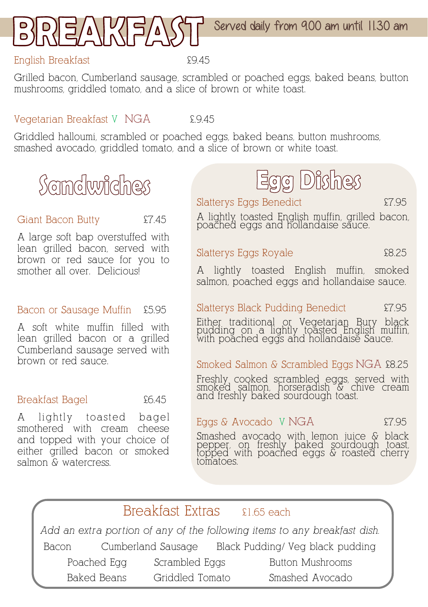

#### English Breakfast £9.45

Grilled bacon, Cumberland sausage, scrambled or poached eggs, baked beans, button mushrooms, griddled tomato, and a slice of brown or white toast.

#### Vegetarian Breakfast V NGA £.9.45

Griddled halloumi, scrambled or poached eggs, baked beans, button mushrooms, smashed avocado, griddled tomato, and a slice of brown or white toast.

## Scindwiches

#### Giant Bacon Butty  $\epsilon$ 7.45

A large soft bap overstuffed with lean grilled bacon, served with brown or red sauce for you to smother all over. Deliciousl

#### Bacon or Sausage Muffin £5.95

A soft white muffin filled with lean grilled bacon or a grilled Cumberland sausage served with brown or red sauce.

#### Breakfast Bagel 26.45

A lightly toasted bagel smothered with cream cheese and topped with your choice of either grilled bacon or smoked salmon & watercress.

# Egg Dishes

Slatterys Eggs Benedict  $\text{E7.95}$ 

A lightly toasted English muffin, grilled bacon, poached eggs and hollandaise sauce.

#### Slatterys Eggs Royale **Example** 28.25

A lightly toasted English muffin, smoked salmon, poached eggs and hollandaise sauce.

#### Slatterys Black Pudding Benedict 27.95

Either traditional or Vegetarian Bury black pudding on a lightly toasted English muffin, with poached eggs and hollandaise Sauce.

#### Smoked Salmon & Scrambled Eggs NGA £8.25

Freshly cooked scrambled eggs, served with smoked salmon, horseradish & chive cream and freshly baked sourdough toast.

#### Eggs & Avocado V NGA  $\qquad 27.95$

Smashed avocado with lemon juice & black pepper, on freshly baked sourdough toast, topped with poached eggs & roasted cherry tomatoes.

### Breakfast Extras \$1.65 each

*Add an extra portion of any of the following items to any breakfast dish.*  Bacon Cumberland Sausage Black Pudding/ Veg black pudding

Poached Egg Scrambled Eggs Button Mushrooms Baked Beans Griddled Tomato Smashed Avocado